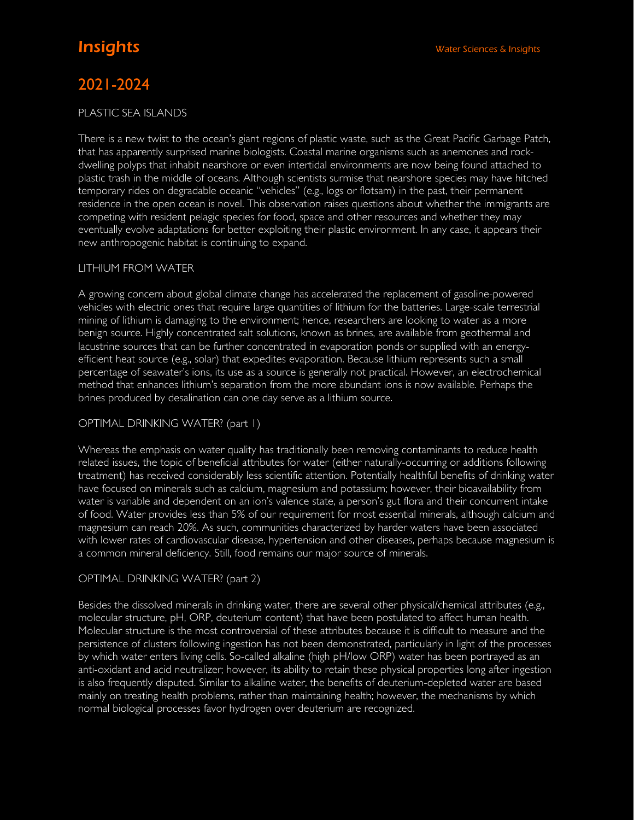# 2021-2024

#### PLASTIC SEA ISLANDS

There is a new twist to the ocean's giant regions of plastic waste, such as the Great Pacific Garbage Patch, that has apparently surprised marine biologists. Coastal marine organisms such as anemones and rockdwelling polyps that inhabit nearshore or even intertidal environments are now being found attached to plastic trash in the middle of oceans. Although scientists surmise that nearshore species may have hitched temporary rides on degradable oceanic "vehicles" (e.g., logs or flotsam) in the past, their permanent residence in the open ocean is novel. This observation raises questions about whether the immigrants are competing with resident pelagic species for food, space and other resources and whether they may eventually evolve adaptations for better exploiting their plastic environment. In any case, it appears their new anthropogenic habitat is continuing to expand.

### LITHIUM FROM WATER

A growing concern about global climate change has accelerated the replacement of gasoline-powered vehicles with electric ones that require large quantities of lithium for the batteries. Large-scale terrestrial mining of lithium is damaging to the environment; hence, researchers are looking to water as a more benign source. Highly concentrated salt solutions, known as brines, are available from geothermal and lacustrine sources that can be further concentrated in evaporation ponds or supplied with an energyefficient heat source (e.g., solar) that expedites evaporation. Because lithium represents such a small percentage of seawater's ions, its use as a source is generally not practical. However, an electrochemical method that enhances lithium's separation from the more abundant ions is now available. Perhaps the brines produced by desalination can one day serve as a lithium source.

### OPTIMAL DRINKING WATER? (part 1)

Whereas the emphasis on water quality has traditionally been removing contaminants to reduce health related issues, the topic of beneficial attributes for water (either naturally-occurring or additions following treatment) has received considerably less scientific attention. Potentially healthful benefits of drinking water have focused on minerals such as calcium, magnesium and potassium; however, their bioavailability from water is variable and dependent on an ion's valence state, a person's gut flora and their concurrent intake of food. Water provides less than 5% of our requirement for most essential minerals, although calcium and magnesium can reach 20%. As such, communities characterized by harder waters have been associated with lower rates of cardiovascular disease, hypertension and other diseases, perhaps because magnesium is a common mineral deficiency. Still, food remains our major source of minerals.

### OPTIMAL DRINKING WATER? (part 2)

Besides the dissolved minerals in drinking water, there are several other physical/chemical attributes (e.g., molecular structure, pH, ORP, deuterium content) that have been postulated to affect human health. Molecular structure is the most controversial of these attributes because it is difficult to measure and the persistence of clusters following ingestion has not been demonstrated, particularly in light of the processes by which water enters living cells. So-called alkaline (high pH/low ORP) water has been portrayed as an anti-oxidant and acid neutralizer; however, its ability to retain these physical properties long after ingestion is also frequently disputed. Similar to alkaline water, the benefits of deuterium-depleted water are based mainly on treating health problems, rather than maintaining health; however, the mechanisms by which normal biological processes favor hydrogen over deuterium are recognized.